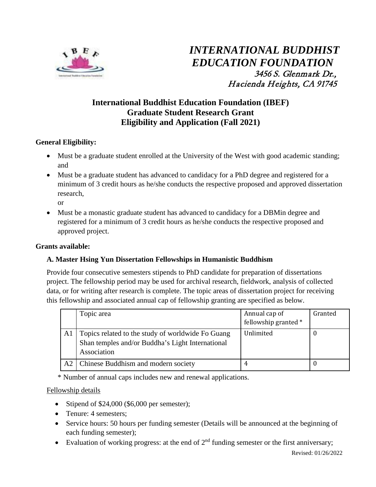

# **International Buddhist Education Foundation (IBEF) Graduate Student Research Grant Eligibility and Application (Fall 2021)**

# **General Eligibility:**

- Must be a graduate student enrolled at the University of the West with good academic standing; and
- Must be a graduate student has advanced to candidacy for a PhD degree and registered for a minimum of 3 credit hours as he/she conducts the respective proposed and approved dissertation research,

or

• Must be a monastic graduate student has advanced to candidacy for a DBMin degree and registered for a minimum of 3 credit hours as he/she conducts the respective proposed and approved project.

### **Grants available:**

## **A. Master Hsing Yun Dissertation Fellowships in Humanistic Buddhism**

Provide four consecutive semesters stipends to PhD candidate for preparation of dissertations project. The fellowship period may be used for archival research, fieldwork, analysis of collected data, or for writing after research is complete. The topic areas of dissertation project for receiving this fellowship and associated annual cap of fellowship granting are specified as below.

|    | Topic area                                                                                                           | Annual cap of<br>fellowship granted * | Granted |
|----|----------------------------------------------------------------------------------------------------------------------|---------------------------------------|---------|
| Al | Topics related to the study of worldwide Fo Guang<br>Shan temples and/or Buddha's Light International<br>Association | Unlimited                             |         |
| A2 | Chinese Buddhism and modern society                                                                                  |                                       |         |

\* Number of annual caps includes new and renewal applications.

## Fellowship details

- Stipend of \$24,000 (\$6,000 per semester);
- Tenure: 4 semesters:
- Service hours: 50 hours per funding semester (Details will be announced at the beginning of each funding semester);
- Evaluation of working progress: at the end of  $2<sup>nd</sup>$  funding semester or the first anniversary;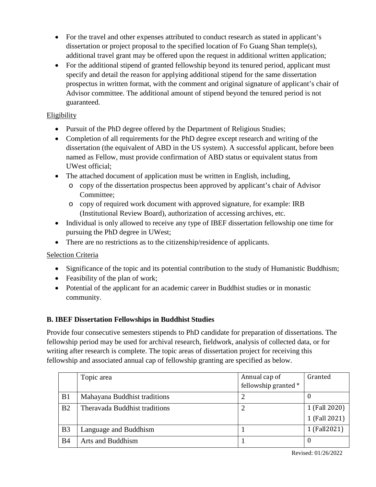- For the travel and other expenses attributed to conduct research as stated in applicant's dissertation or project proposal to the specified location of Fo Guang Shan temple(s), additional travel grant may be offered upon the request in additional written application;
- For the additional stipend of granted fellowship beyond its tenured period, applicant must specify and detail the reason for applying additional stipend for the same dissertation prospectus in written format, with the comment and original signature of applicant's chair of Advisor committee. The additional amount of stipend beyond the tenured period is not guaranteed.

# Eligibility

- Pursuit of the PhD degree offered by the Department of Religious Studies;
- Completion of all requirements for the PhD degree except research and writing of the dissertation (the equivalent of ABD in the US system). A successful applicant, before been named as Fellow, must provide confirmation of ABD status or equivalent status from UWest official;
- The attached document of application must be written in English, including,
	- o copy of the dissertation prospectus been approved by applicant's chair of Advisor Committee;
	- o copy of required work document with approved signature, for example: IRB (Institutional Review Board), authorization of accessing archives, etc.
- Individual is only allowed to receive any type of IBEF dissertation fellowship one time for pursuing the PhD degree in UWest;
- There are no restrictions as to the citizenship/residence of applicants.

## Selection Criteria

- Significance of the topic and its potential contribution to the study of Humanistic Buddhism;
- Feasibility of the plan of work;
- Potential of the applicant for an academic career in Buddhist studies or in monastic community.

## **B. IBEF Dissertation Fellowships in Buddhist Studies**

Provide four consecutive semesters stipends to PhD candidate for preparation of dissertations. The fellowship period may be used for archival research, fieldwork, analysis of collected data, or for writing after research is complete. The topic areas of dissertation project for receiving this fellowship and associated annual cap of fellowship granting are specified as below.

|                | Topic area                    | Annual cap of        | Granted       |
|----------------|-------------------------------|----------------------|---------------|
|                |                               | fellowship granted * |               |
| B1             | Mahayana Buddhist traditions  |                      | U             |
| B <sub>2</sub> | Theravada Buddhist traditions |                      | 1 (Fall 2020) |
|                |                               |                      | 1 (Fall 2021) |
| B <sub>3</sub> | Language and Buddhism         |                      | 1 (Fall2021)  |
| <b>B4</b>      | Arts and Buddhism             |                      | $\theta$      |

Revised: 01/26/2022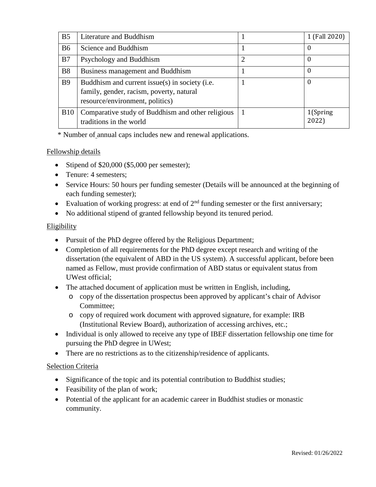| B <sub>5</sub> | Literature and Buddhism                                                                                                       | 1 (Fall 2020)      |
|----------------|-------------------------------------------------------------------------------------------------------------------------------|--------------------|
| <b>B6</b>      | Science and Buddhism                                                                                                          | $\boldsymbol{0}$   |
| B7             | Psychology and Buddhism                                                                                                       | $\theta$           |
| <b>B8</b>      | Business management and Buddhism                                                                                              | $\boldsymbol{0}$   |
| <b>B9</b>      | Buddhism and current issue(s) in society (i.e.<br>family, gender, racism, poverty, natural<br>resource/environment, politics) | $\Omega$           |
| <b>B10</b>     | Comparative study of Buddhism and other religious<br>traditions in the world                                                  | 1(Spring)<br>2022) |

\* Number of annual caps includes new and renewal applications.

## Fellowship details

- Stipend of \$20,000 (\$5,000 per semester);
- Tenure: 4 semesters;
- Service Hours: 50 hours per funding semester (Details will be announced at the beginning of each funding semester);
- Evaluation of working progress: at end of  $2<sup>nd</sup>$  funding semester or the first anniversary;
- No additional stipend of granted fellowship beyond its tenured period.

### Eligibility

- Pursuit of the PhD degree offered by the Religious Department;
- Completion of all requirements for the PhD degree except research and writing of the dissertation (the equivalent of ABD in the US system). A successful applicant, before been named as Fellow, must provide confirmation of ABD status or equivalent status from UWest official;
- The attached document of application must be written in English, including,
	- o copy of the dissertation prospectus been approved by applicant's chair of Advisor Committee;
	- o copy of required work document with approved signature, for example: IRB (Institutional Review Board), authorization of accessing archives, etc.;
- Individual is only allowed to receive any type of IBEF dissertation fellowship one time for pursuing the PhD degree in UWest;
- There are no restrictions as to the citizenship/residence of applicants.

## Selection Criteria

- Significance of the topic and its potential contribution to Buddhist studies;
- Feasibility of the plan of work;
- Potential of the applicant for an academic career in Buddhist studies or monastic community.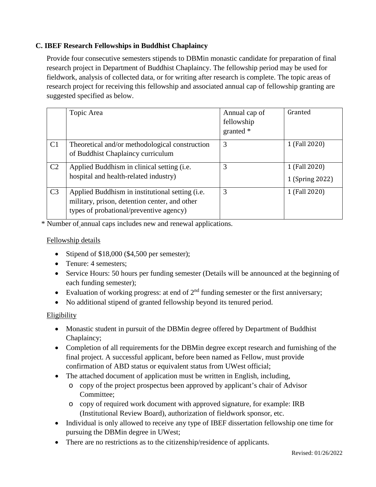# **C. IBEF Research Fellowships in Buddhist Chaplaincy**

Provide four consecutive semesters stipends to DBMin monastic candidate for preparation of final research project in Department of Buddhist Chaplaincy. The fellowship period may be used for fieldwork, analysis of collected data, or for writing after research is complete. The topic areas of research project for receiving this fellowship and associated annual cap of fellowship granting are suggested specified as below.

|                | Topic Area                                                                                                                                  | Annual cap of<br>fellowship<br>granted $*$ | Granted                          |
|----------------|---------------------------------------------------------------------------------------------------------------------------------------------|--------------------------------------------|----------------------------------|
| C1             | Theoretical and/or methodological construction<br>of Buddhist Chaplaincy curriculum                                                         | 3                                          | 1 (Fall 2020)                    |
| C <sub>2</sub> | Applied Buddhism in clinical setting (i.e.<br>hospital and health-related industry)                                                         | 3                                          | 1 (Fall 2020)<br>1 (Spring 2022) |
| C <sub>3</sub> | Applied Buddhism in institutional setting (i.e.<br>military, prison, detention center, and other<br>types of probational/preventive agency) | 3                                          | 1 (Fall 2020)                    |

\* Number of annual caps includes new and renewal applications.

### Fellowship details

- Stipend of \$18,000 (\$4,500 per semester);
- Tenure: 4 semesters;
- Service Hours: 50 hours per funding semester (Details will be announced at the beginning of each funding semester);
- Evaluation of working progress: at end of  $2<sup>nd</sup>$  funding semester or the first anniversary;
- No additional stipend of granted fellowship beyond its tenured period.

## Eligibility

- Monastic student in pursuit of the DBM in degree offered by Department of Buddhist Chaplaincy;
- Completion of all requirements for the DBMin degree except research and furnishing of the final project. A successful applicant, before been named as Fellow, must provide confirmation of ABD status or equivalent status from UWest official;
- The attached document of application must be written in English, including,
	- o copy of the project prospectus been approved by applicant's chair of Advisor Committee;
	- o copy of required work document with approved signature, for example: IRB (Institutional Review Board), authorization of fieldwork sponsor, etc.
- Individual is only allowed to receive any type of IBEF dissertation fellowship one time for pursuing the DBMin degree in UWest;
- There are no restrictions as to the citizenship/residence of applicants.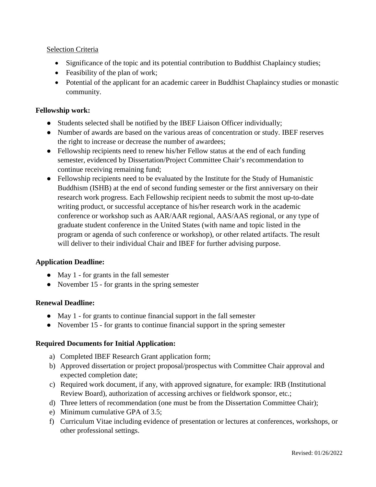## Selection Criteria

- Significance of the topic and its potential contribution to Buddhist Chaplaincy studies;
- Feasibility of the plan of work;
- Potential of the applicant for an academic career in Buddhist Chaplaincy studies or monastic community.

### **Fellowship work:**

- Students selected shall be notified by the IBEF Liaison Officer individually;
- Number of awards are based on the various areas of concentration or study. IBEF reserves the right to increase or decrease the number of awardees;
- Fellowship recipients need to renew his/her Fellow status at the end of each funding semester, evidenced by Dissertation/Project Committee Chair's recommendation to continue receiving remaining fund;
- Fellowship recipients need to be evaluated by the Institute for the Study of Humanistic Buddhism (ISHB) at the end of second funding semester or the first anniversary on their research work progress. Each Fellowship recipient needs to submit the most up-to-date writing product, or successful acceptance of his/her research work in the academic conference or workshop such as AAR/AAR regional, AAS/AAS regional, or any type of graduate student conference in the United States (with name and topic listed in the program or agenda of such conference or workshop), or other related artifacts. The result will deliver to their individual Chair and IBEF for further advising purpose.

#### **Application Deadline:**

- May 1 for grants in the fall semester
- November 15 for grants in the spring semester

#### **Renewal Deadline:**

- May 1 for grants to continue financial support in the fall semester
- November 15 for grants to continue financial support in the spring semester

#### **Required Documents for Initial Application:**

- a) Completed IBEF Research Grant application form;
- b) Approved dissertation or project proposal/prospectus with Committee Chair approval and expected completion date;
- c) Required work document, if any, with approved signature, for example: IRB (Institutional Review Board), authorization of accessing archives or fieldwork sponsor, etc.;
- d) Three letters of recommendation (one must be from the Dissertation Committee Chair);
- e) Minimum cumulative GPA of 3.5;
- f) Curriculum Vitae including evidence of presentation or lectures at conferences, workshops, or other professional settings.